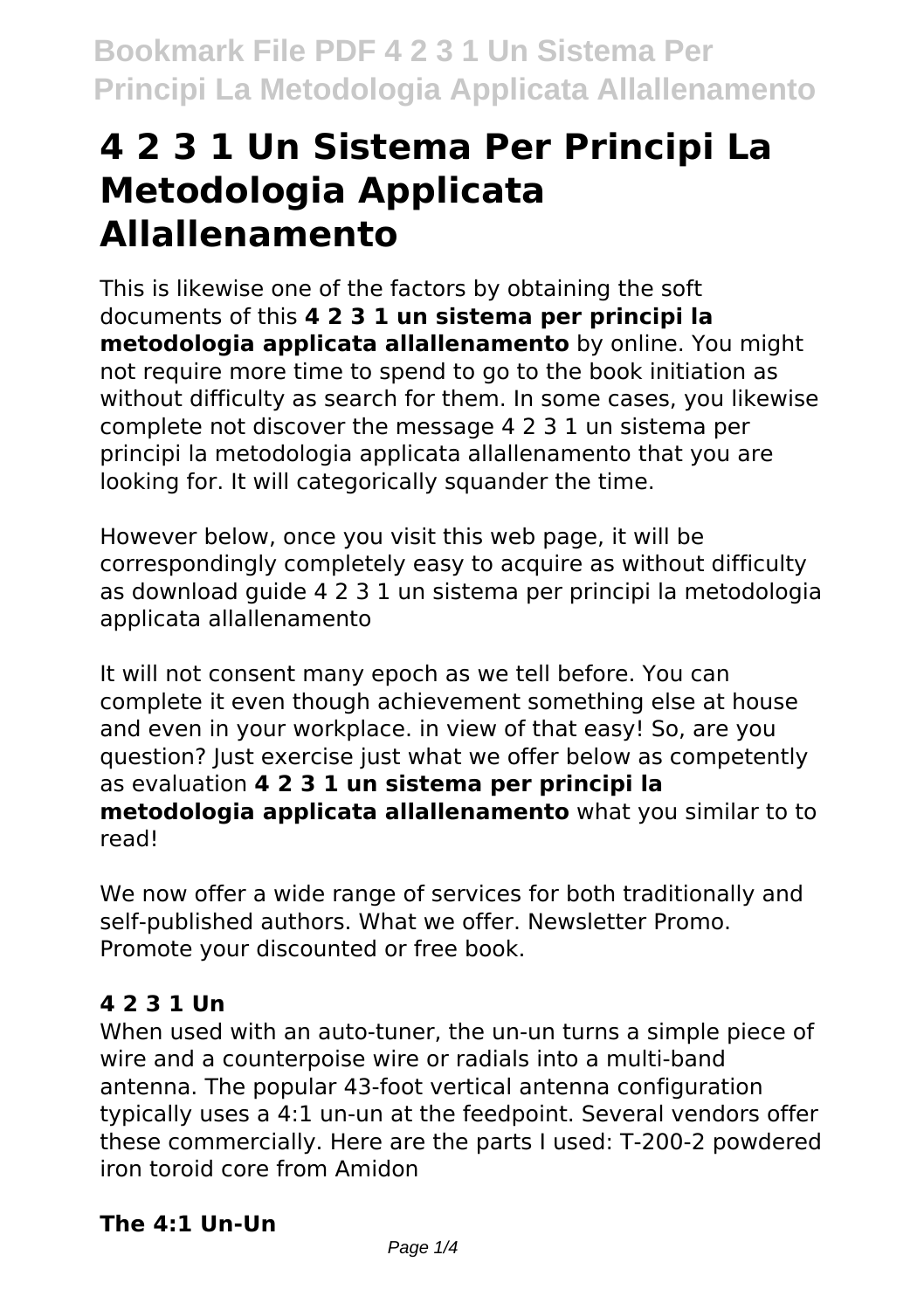# **4 2 3 1 Un Sistema Per Principi La Metodologia Applicata Allallenamento**

This is likewise one of the factors by obtaining the soft documents of this **4 2 3 1 un sistema per principi la metodologia applicata allallenamento** by online. You might not require more time to spend to go to the book initiation as without difficulty as search for them. In some cases, you likewise complete not discover the message 4 2 3 1 un sistema per principi la metodologia applicata allallenamento that you are looking for. It will categorically squander the time.

However below, once you visit this web page, it will be correspondingly completely easy to acquire as without difficulty as download guide 4 2 3 1 un sistema per principi la metodologia applicata allallenamento

It will not consent many epoch as we tell before. You can complete it even though achievement something else at house and even in your workplace. in view of that easy! So, are you question? Just exercise just what we offer below as competently as evaluation **4 2 3 1 un sistema per principi la metodologia applicata allallenamento** what you similar to to read!

We now offer a wide range of services for both traditionally and self-published authors. What we offer. Newsletter Promo. Promote your discounted or free book.

# **4 2 3 1 Un**

When used with an auto-tuner, the un-un turns a simple piece of wire and a counterpoise wire or radials into a multi-band antenna. The popular 43-foot vertical antenna configuration typically uses a 4:1 un-un at the feedpoint. Several vendors offer these commercially. Here are the parts I used: T-200-2 powdered iron toroid core from Amidon

# **The 4:1 Un-Un**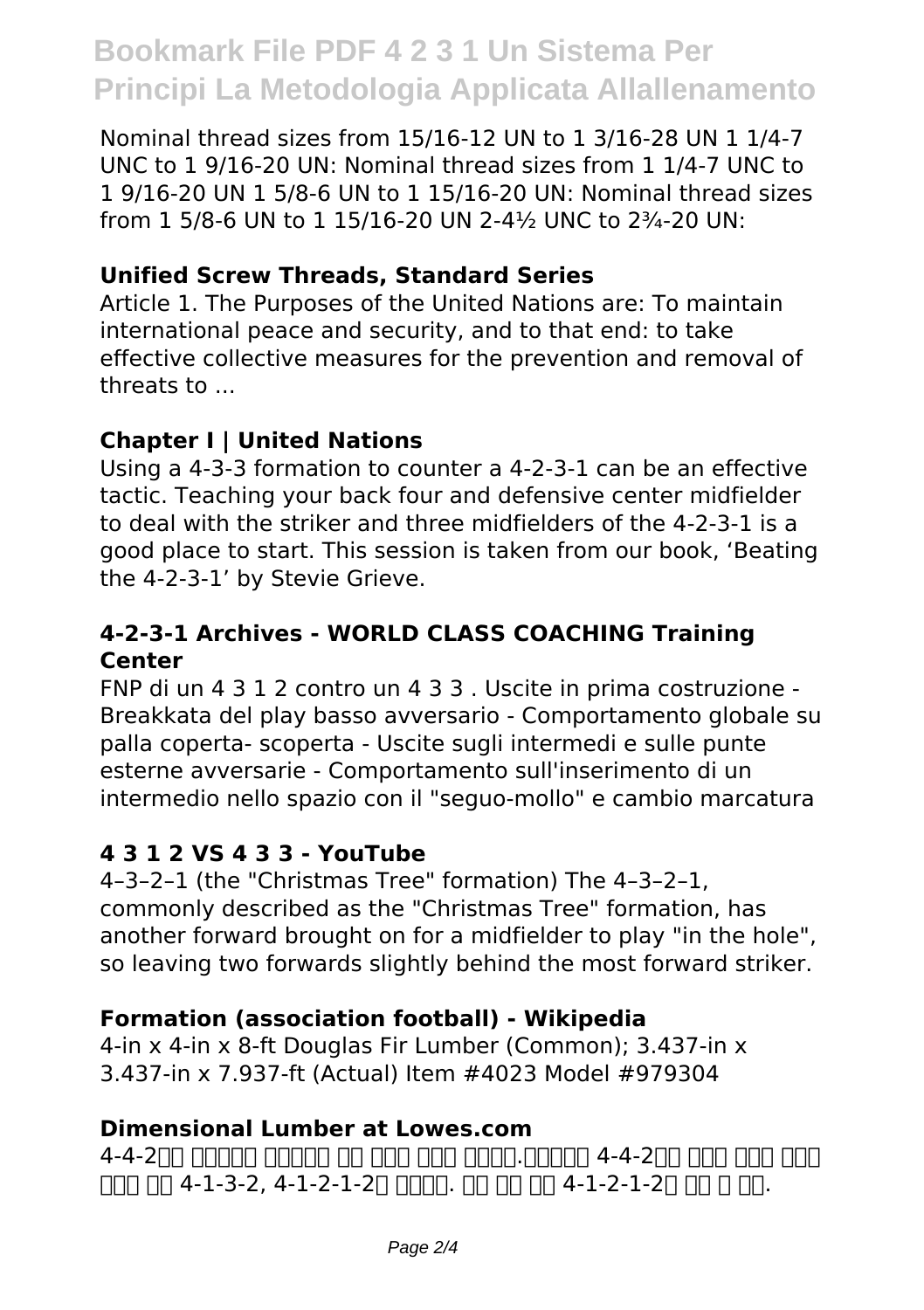# **Bookmark File PDF 4 2 3 1 Un Sistema Per Principi La Metodologia Applicata Allallenamento**

Nominal thread sizes from 15/16-12 UN to 1 3/16-28 UN 1 1/4-7 UNC to 1 9/16-20 UN: Nominal thread sizes from 1 1/4-7 UNC to 1 9/16-20 UN 1 5/8-6 UN to 1 15/16-20 UN: Nominal thread sizes from 1 5/8-6 UN to 1 15/16-20 UN 2-4½ UNC to 2¾-20 UN:

### **Unified Screw Threads, Standard Series**

Article 1. The Purposes of the United Nations are: To maintain international peace and security, and to that end: to take effective collective measures for the prevention and removal of threats to ...

#### **Chapter I | United Nations**

Using a 4-3-3 formation to counter a 4-2-3-1 can be an effective tactic. Teaching your back four and defensive center midfielder to deal with the striker and three midfielders of the 4-2-3-1 is a good place to start. This session is taken from our book, 'Beating the 4-2-3-1' by Stevie Grieve.

#### **4-2-3-1 Archives - WORLD CLASS COACHING Training Center**

FNP di un 4 3 1 2 contro un 4 3 3 . Uscite in prima costruzione - Breakkata del play basso avversario - Comportamento globale su palla coperta- scoperta - Uscite sugli intermedi e sulle punte esterne avversarie - Comportamento sull'inserimento di un intermedio nello spazio con il "seguo-mollo" e cambio marcatura

#### **4 3 1 2 VS 4 3 3 - YouTube**

4–3–2–1 (the "Christmas Tree" formation) The 4–3–2–1, commonly described as the "Christmas Tree" formation, has another forward brought on for a midfielder to play "in the hole", so leaving two forwards slightly behind the most forward striker.

# **Formation (association football) - Wikipedia**

4-in x 4-in x 8-ft Douglas Fir Lumber (Common); 3.437-in x 3.437-in x 7.937-ft (Actual) Item #4023 Model #979304

#### **Dimensional Lumber at Lowes.com**

4-4-200 חחח חחב -4-4 חחחה.חחח חחח חחח חחם ה-4-4-2חח חחם -4-4 FIND NO 4-1-3-2, 4-1-2-1-20 DONN. PO NO 8-1-2-1-20 DO NO.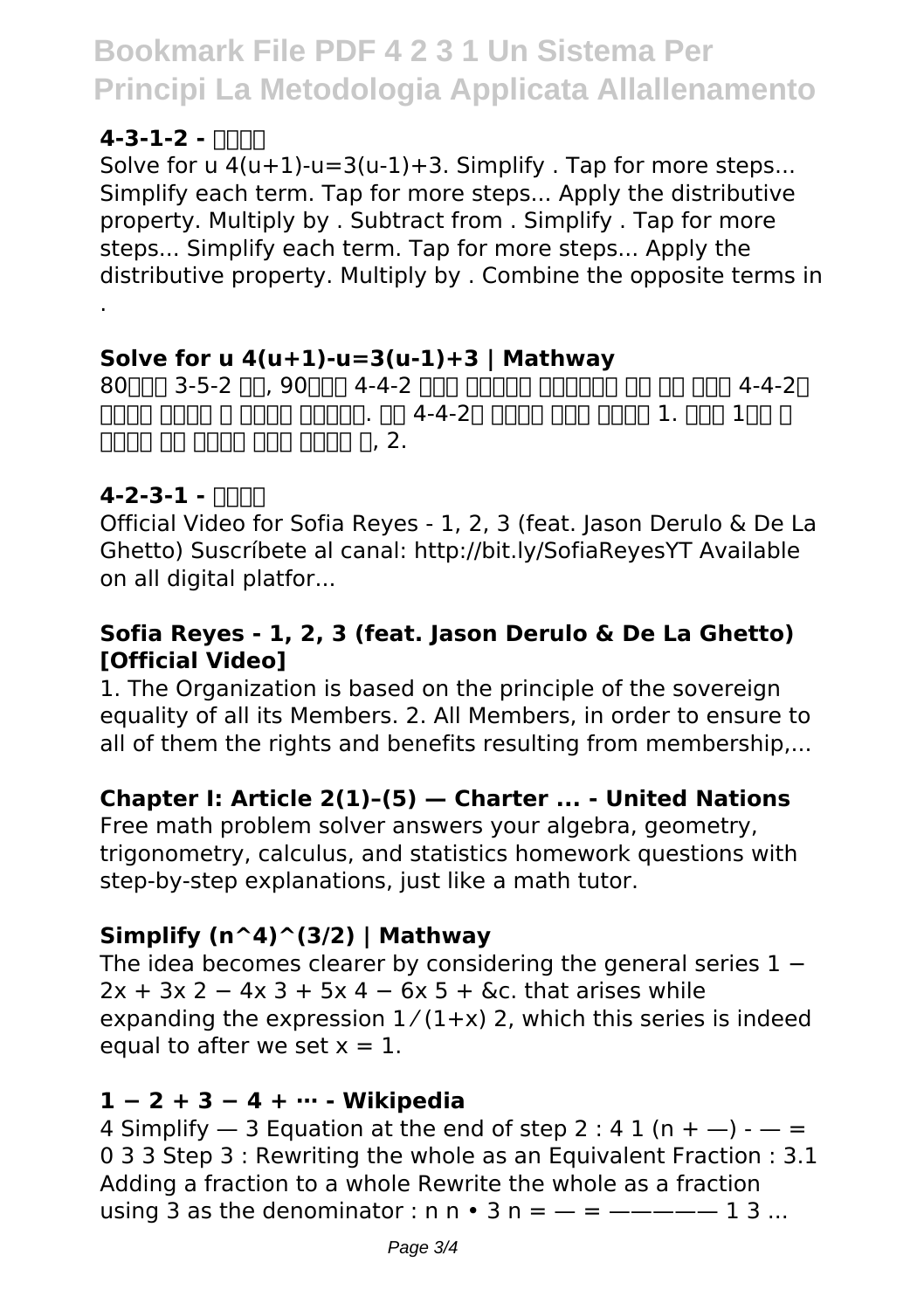# **Bookmark File PDF 4 2 3 1 Un Sistema Per Principi La Metodologia Applicata Allallenamento**

# $4 - 3 - 1 - 2 - 11111$

Solve for  $u$  4( $u+1$ )- $u=3(u-1)+3$ . Simplify . Tap for more steps... Simplify each term. Tap for more steps... Apply the distributive property. Multiply by . Subtract from . Simplify . Tap for more steps... Simplify each term. Tap for more steps... Apply the distributive property. Multiply by . Combine the opposite terms in .

# **Solve for u 4(u+1)-u=3(u-1)+3 | Mathway**

 $80$ רחה 3-5-2 רוח,  $90$ רחה 4-4-2 רוחה החחה החחה החחה מה החחה 4-4-2 <u> TANA GANA A DANA GANAGO 4-4-20 DANA NAO NAO 1. GAN 190 D</u> <u> 대대 대대 대대 대대 대대 대 , 2.</u>

# **4-2-3-1 - 나무위키**

Official Video for Sofia Reyes - 1, 2, 3 (feat. Jason Derulo & De La Ghetto) Suscríbete al canal: http://bit.ly/SofiaReyesYT Available on all digital platfor...

### **Sofia Reyes - 1, 2, 3 (feat. Jason Derulo & De La Ghetto) [Official Video]**

1. The Organization is based on the principle of the sovereign equality of all its Members. 2. All Members, in order to ensure to all of them the rights and benefits resulting from membership....

# **Chapter I: Article 2(1)–(5) — Charter ... - United Nations**

Free math problem solver answers your algebra, geometry, trigonometry, calculus, and statistics homework questions with step-by-step explanations, just like a math tutor.

# **Simplify (n^4)^(3/2) | Mathway**

The idea becomes clearer by considering the general series  $1 2x + 3x$  2 − 4x 3 + 5x 4 − 6x 5 + &c. that arises while expanding the expression  $1/(1+x)$  2, which this series is indeed equal to after we set  $x = 1$ .

#### **1 − 2 + 3 − 4 + ⋯ - Wikipedia**

4 Simplify  $-$  3 Equation at the end of step 2 : 4 1 (n +  $-$ ) -  $-$  = 0 3 3 Step 3 : Rewriting the whole as an Equivalent Fraction : 3.1 Adding a fraction to a whole Rewrite the whole as a fraction using 3 as the denominator :  $n \cdot 3$  n =  $-$  =  $1$  3 ...